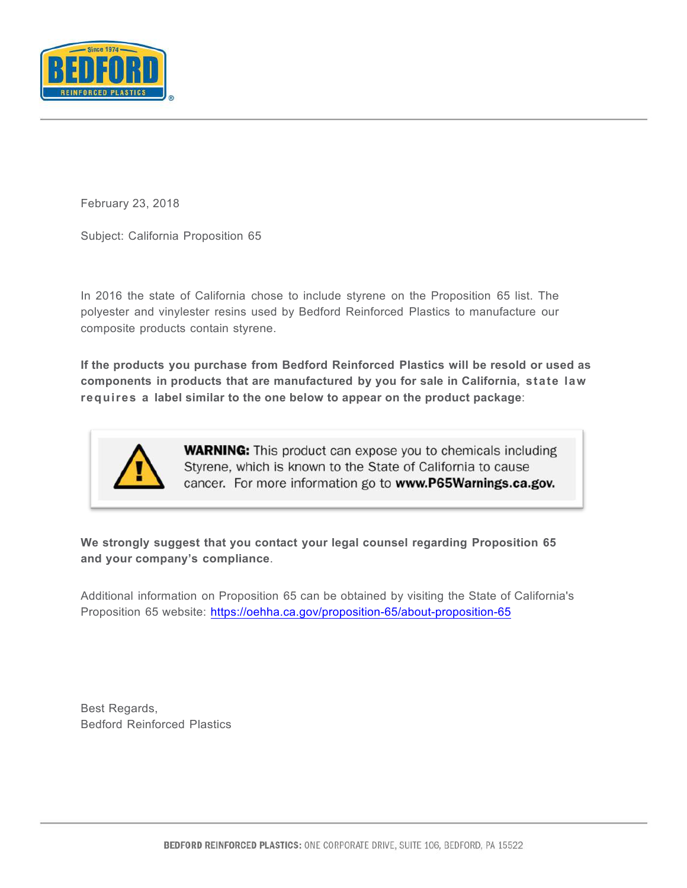

February 23, 2018

Subject: California Proposition 65

In 2016 the state of California chose to include styrene on the Proposition 65 list. The polyester and vinylester resins used by Bedford Reinforced Plastics to manufacture our composite products contain styrene.

**If the products you purchase from Bedford Reinforced Plastics will be resold or used as components in products that are manufactured by you for sale in California, state law requires a label similar to the one below to appear on the product package**:



**WARNING:** This product can expose you to chemicals including Styrene, which is known to the State of California to cause cancer. For more information go to www.P65Warnings.ca.gov.

**We strongly suggest that you contact your legal counsel regarding Proposition 65 and your company's compliance**.

Additional information on Proposition 65 can be obtained by visiting the State of California's Proposition 65 website: https://oehha.ca.gov/proposition-65/about-proposition-65

Best Regards, Bedford Reinforced Plastics